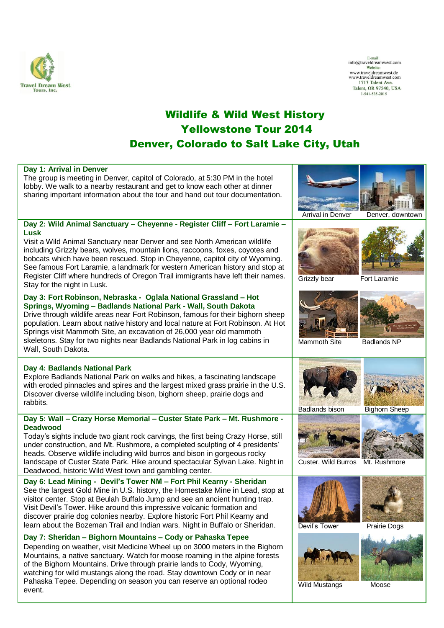

 $\begin{tabular}{l} E-mail: \\ \hline \textbf{which} \\ \textbf{work} \\ \textbf{www.traveldreamwest.de} \\ \textbf{www.traveldreamwest.com} \\ 1713 \text{ Talent Ave.} \\ \textbf{Talent, OR 97540, USA} \\ 1-541-535-2015 \\ \end{tabular}$ 

## Wildlife & Wild West History Yellowstone Tour 2014 Denver, Colorado to Salt Lake City, Utah

| Day 1: Arrival in Denver<br>The group is meeting in Denver, capitol of Colorado, at 5:30 PM in the hotel<br>lobby. We walk to a nearby restaurant and get to know each other at dinner<br>sharing important information about the tour and hand out tour documentation.                                                                                                                                                                                                                                                                 | <b>Arrival in Denver</b> | Denver, downtown     |
|-----------------------------------------------------------------------------------------------------------------------------------------------------------------------------------------------------------------------------------------------------------------------------------------------------------------------------------------------------------------------------------------------------------------------------------------------------------------------------------------------------------------------------------------|--------------------------|----------------------|
| Day 2: Wild Animal Sanctuary - Cheyenne - Register Cliff - Fort Laramie -<br><b>Lusk</b><br>Visit a Wild Animal Sanctuary near Denver and see North American wildlife<br>including Grizzly bears, wolves, mountain lions, raccoons, foxes, coyotes and<br>bobcats which have been rescued. Stop in Cheyenne, capitol city of Wyoming.<br>See famous Fort Laramie, a landmark for western American history and stop at<br>Register Cliff where hundreds of Oregon Trail immigrants have left their names.<br>Stay for the night in Lusk. | Grizzly bear             | Fort Laramie         |
| Day 3: Fort Robinson, Nebraska - Oglala National Grassland - Hot<br>Springs, Wyoming - Badlands National Park - Wall, South Dakota<br>Drive through wildlife areas near Fort Robinson, famous for their bighorn sheep<br>population. Learn about native history and local nature at Fort Robinson. At Hot<br>Springs visit Mammoth Site, an excavation of 26,000 year old mammoth<br>skeletons. Stay for two nights near Badlands National Park in log cabins in<br>Wall, South Dakota.                                                 | Mammoth Site             | <b>Badlands NP</b>   |
| Day 4: Badlands National Park<br>Explore Badlands National Park on walks and hikes, a fascinating landscape<br>with eroded pinnacles and spires and the largest mixed grass prairie in the U.S.<br>Discover diverse wildlife including bison, bighorn sheep, prairie dogs and<br>rabbits.                                                                                                                                                                                                                                               | <b>Badlands bison</b>    | <b>Bighorn Sheep</b> |
| Day 5: Wall - Crazy Horse Memorial - Custer State Park - Mt. Rushmore -<br><b>Deadwood</b><br>Today's sights include two giant rock carvings, the first being Crazy Horse, still<br>under construction, and Mt. Rushmore, a completed sculpting of 4 presidents'<br>heads. Observe wildlife including wild burros and bison in gorgeous rocky<br>landscape of Custer State Park. Hike around spectacular Sylvan Lake. Night in<br>Deadwood, historic Wild West town and gambling center.                                                | Custer, Wild Burros      | Mt. Rushmore         |
| Day 6: Lead Mining - Devil's Tower NM - Fort Phil Kearny - Sheridan<br>See the largest Gold Mine in U.S. history, the Homestake Mine in Lead, stop at<br>visitor center. Stop at Beulah Buffalo Jump and see an ancient hunting trap.<br>Visit Devil's Tower. Hike around this impressive volcanic formation and<br>discover prairie dog colonies nearby. Explore historic Fort Phil Kearny and<br>learn about the Bozeman Trail and Indian wars. Night in Buffalo or Sheridan.                                                         | Devil's Tower            | Prairie Dogs         |
| Day 7: Sheridan - Bighorn Mountains - Cody or Pahaska Tepee<br>Depending on weather, visit Medicine Wheel up on 3000 meters in the Bighorn<br>Mountains, a native sanctuary. Watch for moose roaming in the alpine forests<br>of the Bighorn Mountains. Drive through prairie lands to Cody, Wyoming,<br>watching for wild mustangs along the road. Stay downtown Cody or in near<br>Pahaska Tepee. Depending on season you can reserve an optional rodeo<br>event.                                                                     | <b>Wild Mustangs</b>     | Moose                |